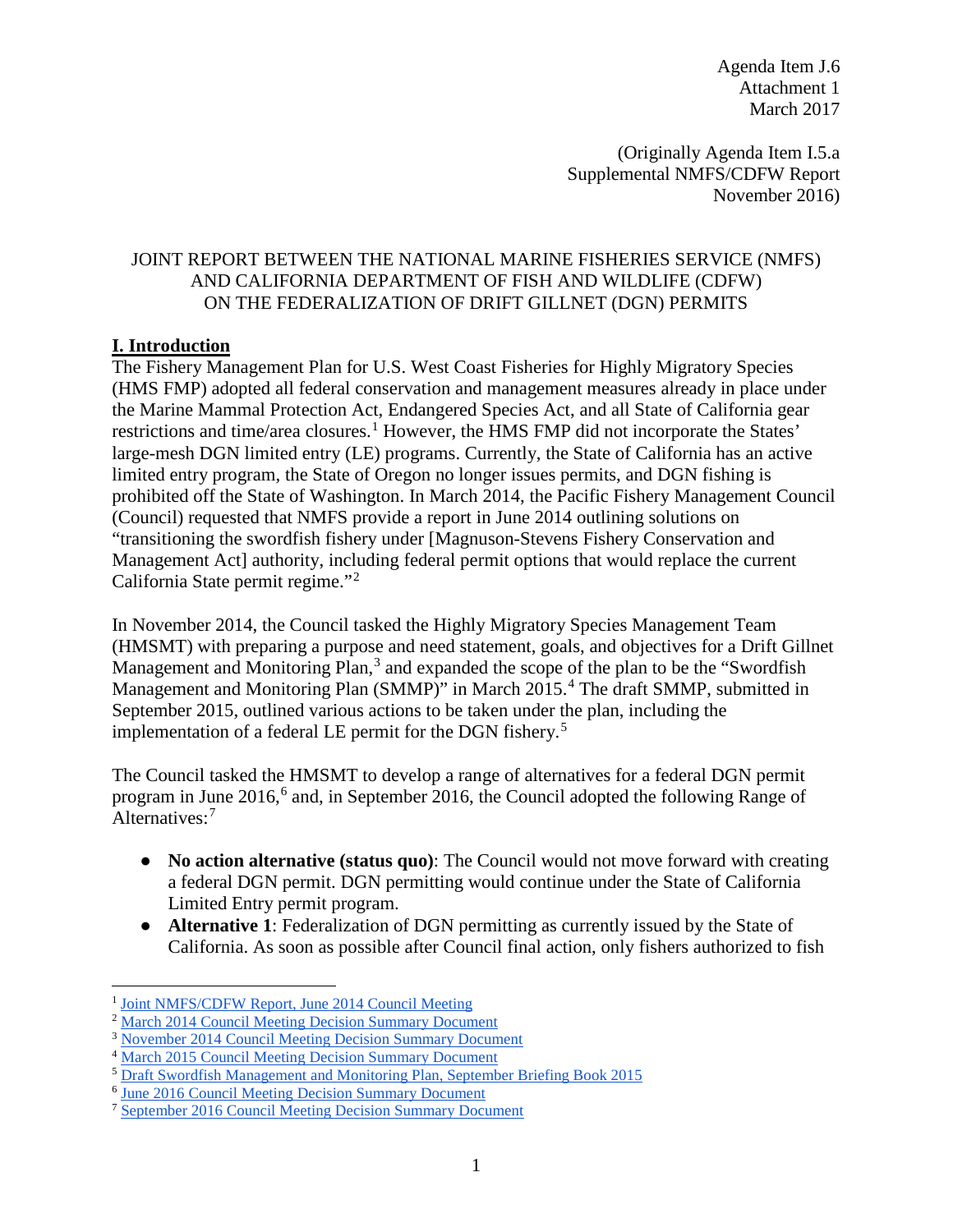Agenda Item J.6 Attachment 1 March 2017

(Originally Agenda Item I.5.a Supplemental NMFS/CDFW Report November 2016)

# JOINT REPORT BETWEEN THE NATIONAL MARINE FISHERIES SERVICE (NMFS) AND CALIFORNIA DEPARTMENT OF FISH AND WILDLIFE (CDFW) ON THE FEDERALIZATION OF DRIFT GILLNET (DGN) PERMITS

### **I. Introduction**

The Fishery Management Plan for U.S. West Coast Fisheries for Highly Migratory Species (HMS FMP) adopted all federal conservation and management measures already in place under the Marine Mammal Protection Act, Endangered Species Act, and all State of California gear restrictions and time/area closures.<sup>[1](#page-0-0)</sup> However, the HMS FMP did not incorporate the States' large-mesh DGN limited entry (LE) programs. Currently, the State of California has an active limited entry program, the State of Oregon no longer issues permits, and DGN fishing is prohibited off the State of Washington. In March 2014, the Pacific Fishery Management Council (Council) requested that NMFS provide a report in June 2014 outlining solutions on "transitioning the swordfish fishery under [Magnuson-Stevens Fishery Conservation and Management Act] authority, including federal permit options that would replace the current California State permit regime."[2](#page-0-1)

In November 2014, the Council tasked the Highly Migratory Species Management Team (HMSMT) with preparing a purpose and need statement, goals, and objectives for a Drift Gillnet Management and Monitoring Plan,<sup>[3](#page-0-2)</sup> and expanded the scope of the plan to be the "Swordfish" Management and Monitoring Plan (SMMP)" in March 2015.[4](#page-0-3) The draft SMMP, submitted in September 2015, outlined various actions to be taken under the plan, including the implementation of a federal LE permit for the DGN fishery.<sup>[5](#page-0-4)</sup>

The Council tasked the HMSMT to develop a range of alternatives for a federal DGN permit program in June 201[6](#page-0-5),<sup>6</sup> and, in September 2016, the Council adopted the following Range of Alternatives:<sup>[7](#page-0-6)</sup>

- **No action alternative (status quo)**: The Council would not move forward with creating a federal DGN permit. DGN permitting would continue under the State of California Limited Entry permit program.
- **Alternative 1**: Federalization of DGN permitting as currently issued by the State of California. As soon as possible after Council final action, only fishers authorized to fish

<span id="page-0-0"></span><sup>&</sup>lt;sup>1</sup> [Joint NMFS/CDFW Report, June 2014 Council Meeting](http://www.pcouncil.org/wp-content/uploads/E2b_SUP_NMFS-CDFW_Rpt_JUNE2014BB.pdf)

<span id="page-0-1"></span><sup>2</sup> [March 2014 Council Meeting Decision Summary Document](http://www.pcouncil.org/wp-content/uploads/0314decisions.pdf)

<span id="page-0-2"></span><sup>3</sup> [November 2014 Council Meeting Decision Summary Document](http://www.pcouncil.org/wp-content/uploads/1114decisions.pdf)

<span id="page-0-3"></span><sup>4</sup> [March 2015 Council Meeting Decision Summary Document](http://www.pcouncil.org/wp-content/uploads/2015/03/0315decisions.pdf)

<span id="page-0-4"></span><sup>5</sup> [Draft Swordfish Management and Monitoring Plan, September Briefing Book 2015](http://www.pcouncil.org/wp-content/uploads/2015/08/G2_Att1_SwordfishPlan1509_SEPT2015BB.pdf)

<span id="page-0-5"></span><sup>6</sup> [June 2016 Council Meeting Decision Summary Document](http://www.pcouncil.org/wp-content/uploads/2016/07/0616decisions.pdf)

<span id="page-0-6"></span><sup>7</sup> [September 2016 Council Meeting Decision Summary Document](http://www.pcouncil.org/wp-content/uploads/2016/09/0916decisions.pdf)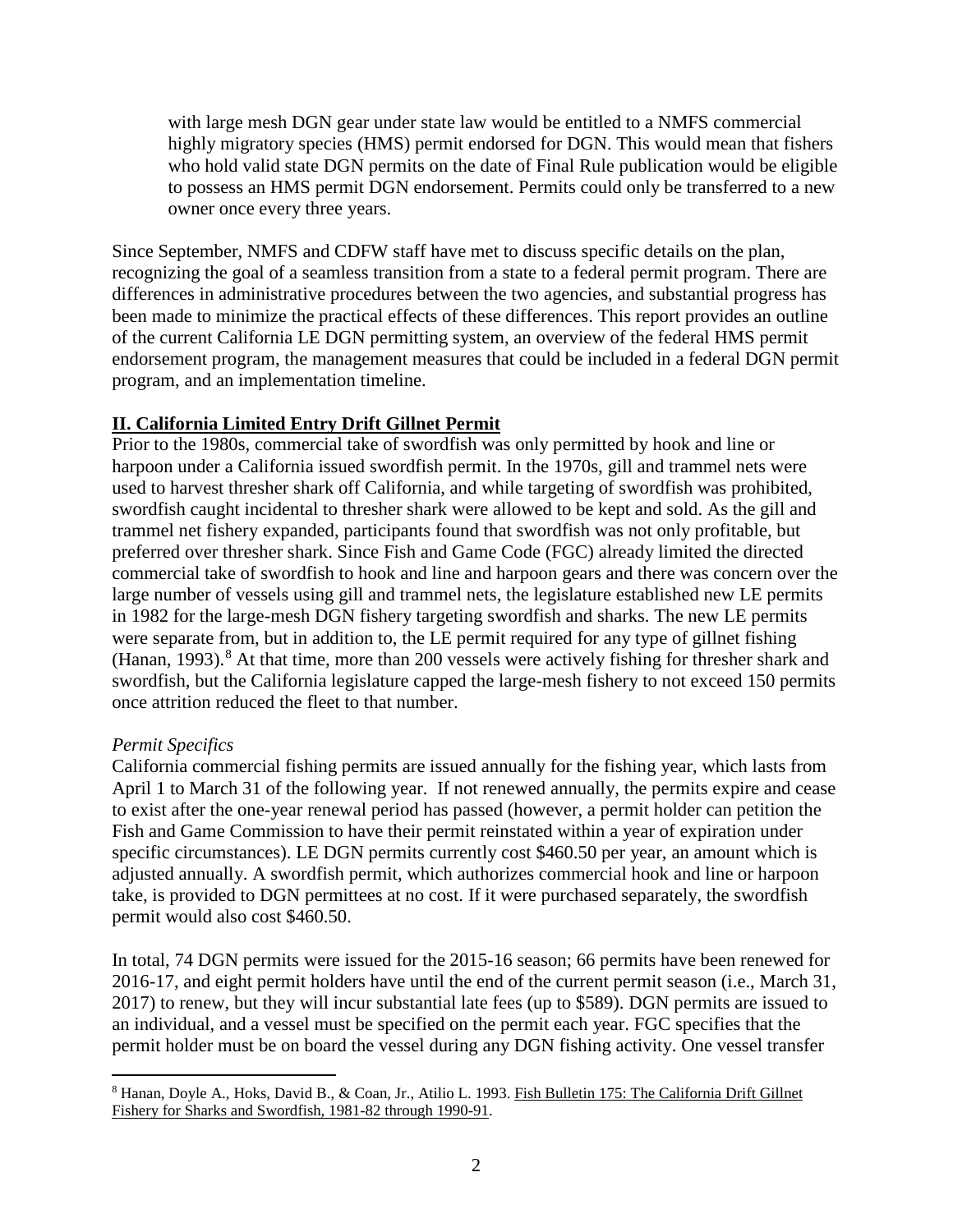with large mesh DGN gear under state law would be entitled to a NMFS commercial highly migratory species (HMS) permit endorsed for DGN. This would mean that fishers who hold valid state DGN permits on the date of Final Rule publication would be eligible to possess an HMS permit DGN endorsement. Permits could only be transferred to a new owner once every three years.

Since September, NMFS and CDFW staff have met to discuss specific details on the plan, recognizing the goal of a seamless transition from a state to a federal permit program. There are differences in administrative procedures between the two agencies, and substantial progress has been made to minimize the practical effects of these differences. This report provides an outline of the current California LE DGN permitting system, an overview of the federal HMS permit endorsement program, the management measures that could be included in a federal DGN permit program, and an implementation timeline.

# **II. California Limited Entry Drift Gillnet Permit**

Prior to the 1980s, commercial take of swordfish was only permitted by hook and line or harpoon under a California issued swordfish permit. In the 1970s, gill and trammel nets were used to harvest thresher shark off California, and while targeting of swordfish was prohibited, swordfish caught incidental to thresher shark were allowed to be kept and sold. As the gill and trammel net fishery expanded, participants found that swordfish was not only profitable, but preferred over thresher shark. Since Fish and Game Code (FGC) already limited the directed commercial take of swordfish to hook and line and harpoon gears and there was concern over the large number of vessels using gill and trammel nets, the legislature established new LE permits in 1982 for the large-mesh DGN fishery targeting swordfish and sharks. The new LE permits were separate from, but in addition to, the LE permit required for any type of gillnet fishing (Hanan, 1993).<sup>[8](#page-1-0)</sup> At that time, more than 200 vessels were actively fishing for thresher shark and swordfish, but the California legislature capped the large-mesh fishery to not exceed 150 permits once attrition reduced the fleet to that number.

# *Permit Specifics*

California commercial fishing permits are issued annually for the fishing year, which lasts from April 1 to March 31 of the following year. If not renewed annually, the permits expire and cease to exist after the one-year renewal period has passed (however, a permit holder can petition the Fish and Game Commission to have their permit reinstated within a year of expiration under specific circumstances). LE DGN permits currently cost \$460.50 per year, an amount which is adjusted annually. A swordfish permit, which authorizes commercial hook and line or harpoon take, is provided to DGN permittees at no cost. If it were purchased separately, the swordfish permit would also cost \$460.50.

In total, 74 DGN permits were issued for the 2015-16 season; 66 permits have been renewed for 2016-17, and eight permit holders have until the end of the current permit season (i.e., March 31, 2017) to renew, but they will incur substantial late fees (up to \$589). DGN permits are issued to an individual, and a vessel must be specified on the permit each year. FGC specifies that the permit holder must be on board the vessel during any DGN fishing activity. One vessel transfer

<span id="page-1-0"></span> <sup>8</sup> Hanan, Doyle A., Hoks, David B., & Coan, Jr., Atilio L. 1993. Fish Bulletin 175: The California Drift Gillnet Fishery for Sharks and Swordfish, 1981-82 through 1990-91.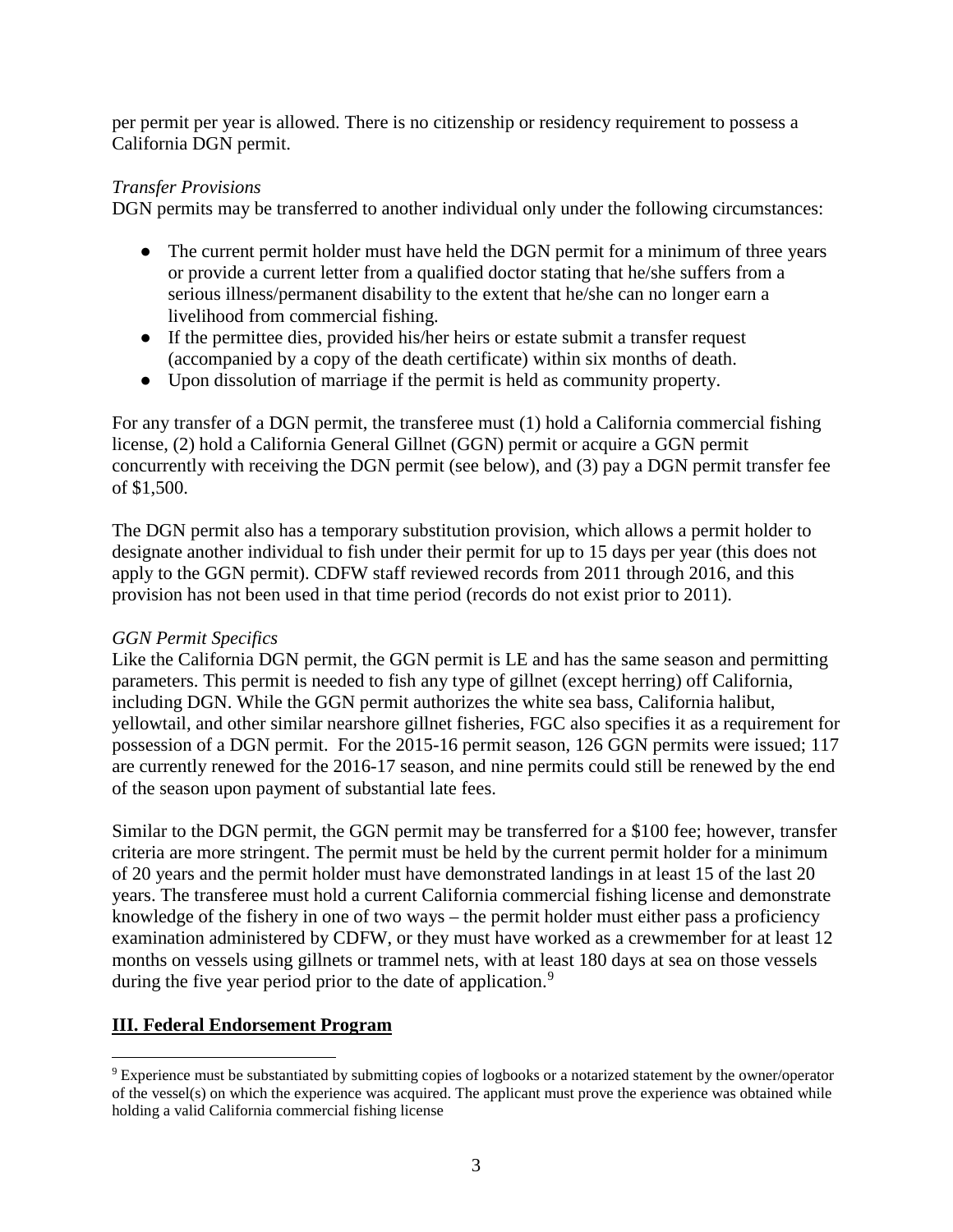per permit per year is allowed. There is no citizenship or residency requirement to possess a California DGN permit.

### *Transfer Provisions*

DGN permits may be transferred to another individual only under the following circumstances:

- The current permit holder must have held the DGN permit for a minimum of three years or provide a current letter from a qualified doctor stating that he/she suffers from a serious illness/permanent disability to the extent that he/she can no longer earn a livelihood from commercial fishing.
- If the permittee dies, provided his/her heirs or estate submit a transfer request (accompanied by a copy of the death certificate) within six months of death.
- Upon dissolution of marriage if the permit is held as community property.

For any transfer of a DGN permit, the transferee must (1) hold a California commercial fishing license, (2) hold a California General Gillnet (GGN) permit or acquire a GGN permit concurrently with receiving the DGN permit (see below), and (3) pay a DGN permit transfer fee of \$1,500.

The DGN permit also has a temporary substitution provision, which allows a permit holder to designate another individual to fish under their permit for up to 15 days per year (this does not apply to the GGN permit). CDFW staff reviewed records from 2011 through 2016, and this provision has not been used in that time period (records do not exist prior to 2011).

# *GGN Permit Specifics*

Like the California DGN permit, the GGN permit is LE and has the same season and permitting parameters. This permit is needed to fish any type of gillnet (except herring) off California, including DGN. While the GGN permit authorizes the white sea bass, California halibut, yellowtail, and other similar nearshore gillnet fisheries, FGC also specifies it as a requirement for possession of a DGN permit. For the 2015-16 permit season, 126 GGN permits were issued; 117 are currently renewed for the 2016-17 season, and nine permits could still be renewed by the end of the season upon payment of substantial late fees.

Similar to the DGN permit, the GGN permit may be transferred for a \$100 fee; however, transfer criteria are more stringent. The permit must be held by the current permit holder for a minimum of 20 years and the permit holder must have demonstrated landings in at least 15 of the last 20 years. The transferee must hold a current California commercial fishing license and demonstrate knowledge of the fishery in one of two ways – the permit holder must either pass a proficiency examination administered by CDFW, or they must have worked as a crewmember for at least 12 months on vessels using gillnets or trammel nets, with at least 180 days at sea on those vessels during the five year period prior to the date of application.<sup>[9](#page-2-0)</sup>

# **III. Federal Endorsement Program**

<span id="page-2-0"></span> <sup>9</sup> Experience must be substantiated by submitting copies of logbooks or a notarized statement by the owner/operator of the vessel(s) on which the experience was acquired. The applicant must prove the experience was obtained while holding a valid California commercial fishing license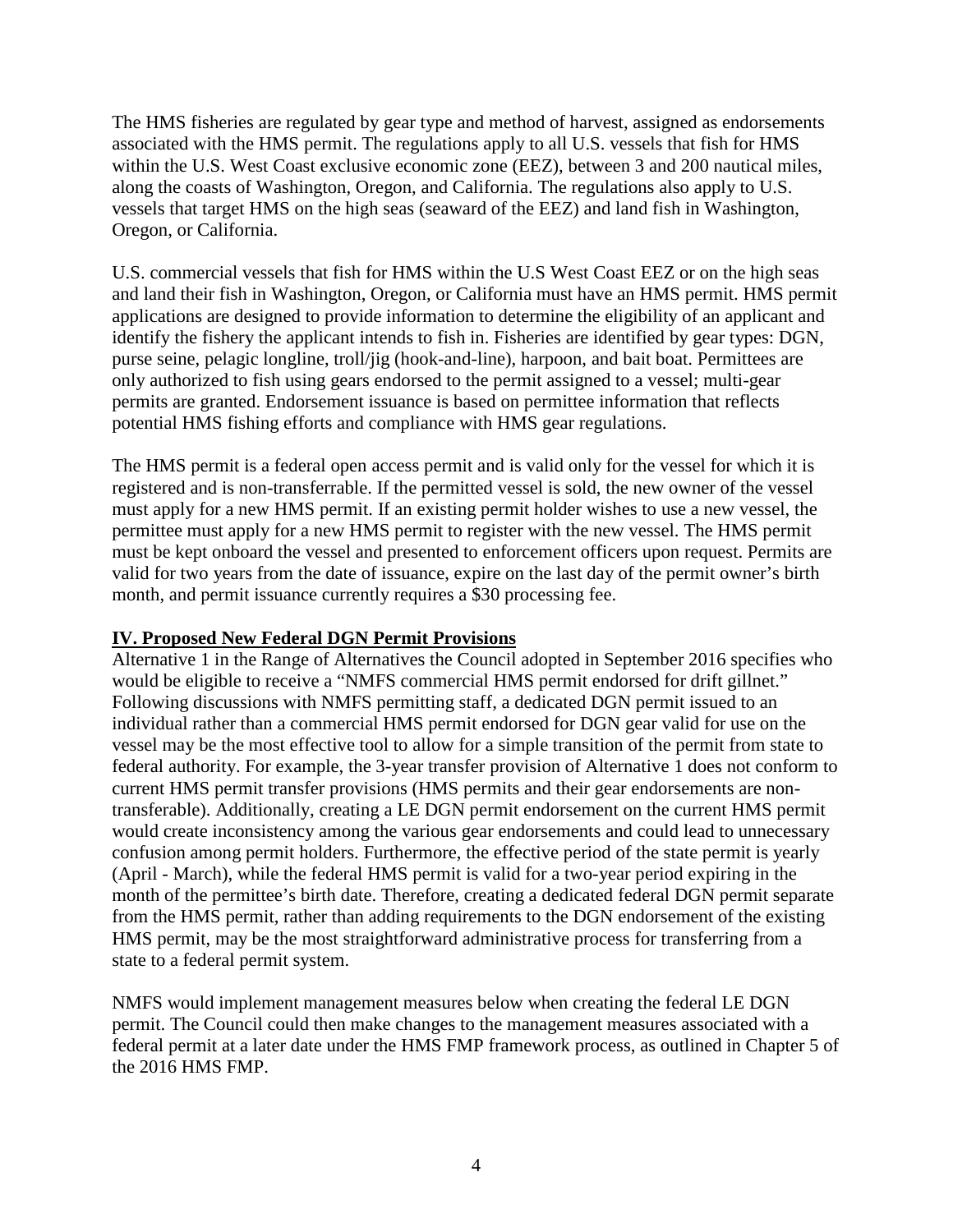The HMS fisheries are regulated by gear type and method of harvest, assigned as endorsements associated with the HMS permit. The regulations apply to all U.S. vessels that fish for HMS within the U.S. West Coast exclusive economic zone (EEZ), between 3 and 200 nautical miles, along the coasts of Washington, Oregon, and California. The regulations also apply to U.S. vessels that target HMS on the high seas (seaward of the EEZ) and land fish in Washington, Oregon, or California.

U.S. commercial vessels that fish for HMS within the U.S West Coast EEZ or on the high seas and land their fish in Washington, Oregon, or California must have an HMS permit. HMS permit applications are designed to provide information to determine the eligibility of an applicant and identify the fishery the applicant intends to fish in. Fisheries are identified by gear types: DGN, purse seine, pelagic longline, troll/jig (hook-and-line), harpoon, and bait boat. Permittees are only authorized to fish using gears endorsed to the permit assigned to a vessel; multi-gear permits are granted. Endorsement issuance is based on permittee information that reflects potential HMS fishing efforts and compliance with HMS gear regulations.

The HMS permit is a federal open access permit and is valid only for the vessel for which it is registered and is non-transferrable. If the permitted vessel is sold, the new owner of the vessel must apply for a new HMS permit. If an existing permit holder wishes to use a new vessel, the permittee must apply for a new HMS permit to register with the new vessel. The HMS permit must be kept onboard the vessel and presented to enforcement officers upon request. Permits are valid for two years from the date of issuance, expire on the last day of the permit owner's birth month, and permit issuance currently requires a \$30 processing fee.

# **IV. Proposed New Federal DGN Permit Provisions**

Alternative 1 in the Range of Alternatives the Council adopted in September 2016 specifies who would be eligible to receive a "NMFS commercial HMS permit endorsed for drift gillnet." Following discussions with NMFS permitting staff, a dedicated DGN permit issued to an individual rather than a commercial HMS permit endorsed for DGN gear valid for use on the vessel may be the most effective tool to allow for a simple transition of the permit from state to federal authority. For example, the 3-year transfer provision of Alternative 1 does not conform to current HMS permit transfer provisions (HMS permits and their gear endorsements are nontransferable). Additionally, creating a LE DGN permit endorsement on the current HMS permit would create inconsistency among the various gear endorsements and could lead to unnecessary confusion among permit holders. Furthermore, the effective period of the state permit is yearly (April - March), while the federal HMS permit is valid for a two-year period expiring in the month of the permittee's birth date. Therefore, creating a dedicated federal DGN permit separate from the HMS permit, rather than adding requirements to the DGN endorsement of the existing HMS permit, may be the most straightforward administrative process for transferring from a state to a federal permit system.

NMFS would implement management measures below when creating the federal LE DGN permit. The Council could then make changes to the management measures associated with a federal permit at a later date under the HMS FMP framework process, as outlined in Chapter 5 of the 2016 HMS FMP.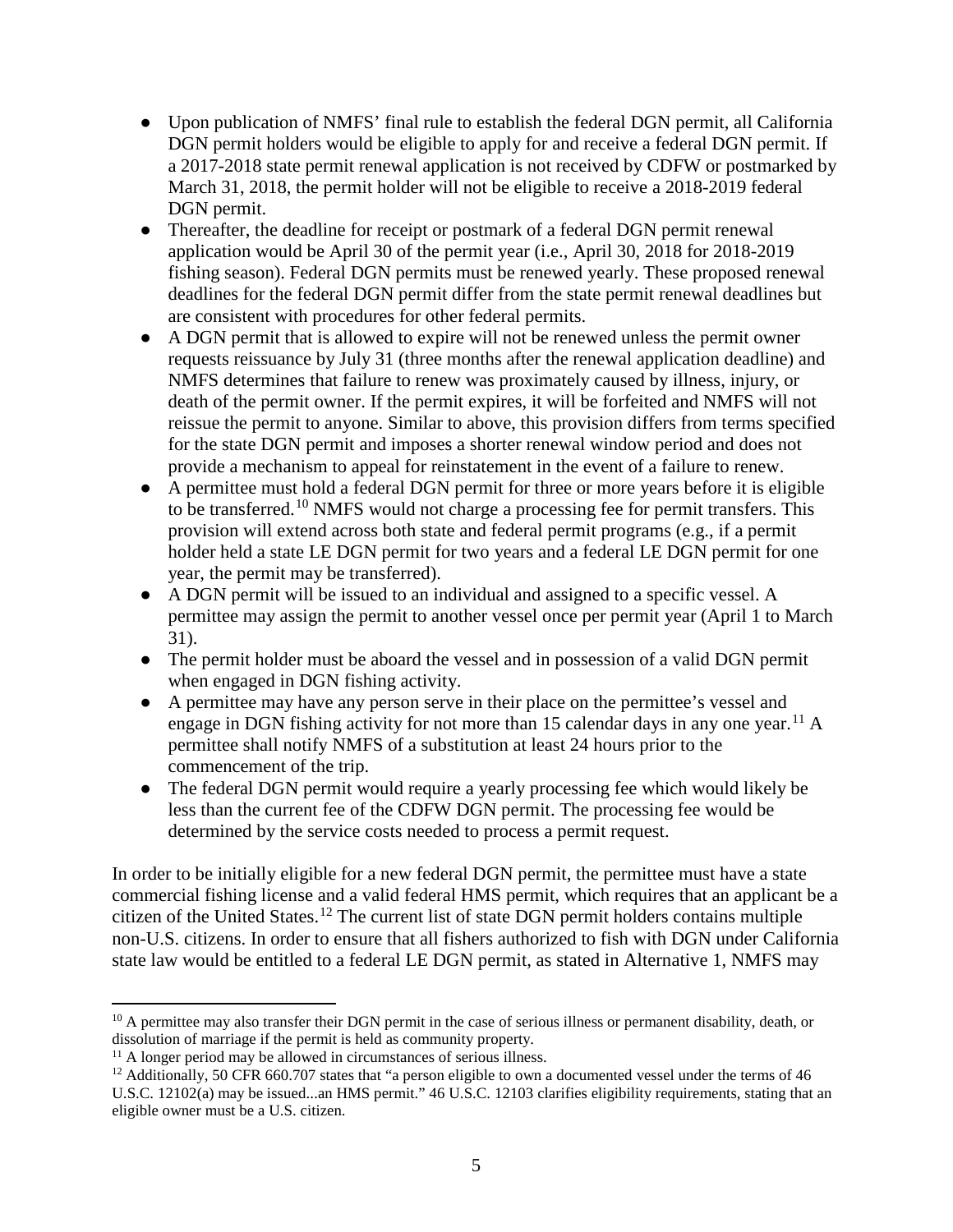- Upon publication of NMFS' final rule to establish the federal DGN permit, all California DGN permit holders would be eligible to apply for and receive a federal DGN permit. If a 2017-2018 state permit renewal application is not received by CDFW or postmarked by March 31, 2018, the permit holder will not be eligible to receive a 2018-2019 federal DGN permit.
- Thereafter, the deadline for receipt or postmark of a federal DGN permit renewal application would be April 30 of the permit year (i.e., April 30, 2018 for 2018-2019 fishing season). Federal DGN permits must be renewed yearly. These proposed renewal deadlines for the federal DGN permit differ from the state permit renewal deadlines but are consistent with procedures for other federal permits.
- A DGN permit that is allowed to expire will not be renewed unless the permit owner requests reissuance by July 31 (three months after the renewal application deadline) and NMFS determines that failure to renew was proximately caused by illness, injury, or death of the permit owner. If the permit expires, it will be forfeited and NMFS will not reissue the permit to anyone. Similar to above, this provision differs from terms specified for the state DGN permit and imposes a shorter renewal window period and does not provide a mechanism to appeal for reinstatement in the event of a failure to renew.
- A permittee must hold a federal DGN permit for three or more years before it is eligible to be transferred.[10](#page-4-0) NMFS would not charge a processing fee for permit transfers. This provision will extend across both state and federal permit programs (e.g., if a permit holder held a state LE DGN permit for two years and a federal LE DGN permit for one year, the permit may be transferred).
- A DGN permit will be issued to an individual and assigned to a specific vessel. A permittee may assign the permit to another vessel once per permit year (April 1 to March 31).
- The permit holder must be aboard the vessel and in possession of a valid DGN permit when engaged in DGN fishing activity.
- A permittee may have any person serve in their place on the permittee's vessel and engage in DGN fishing activity for not more than 15 calendar days in any one year.<sup>[11](#page-4-1)</sup> A permittee shall notify NMFS of a substitution at least 24 hours prior to the commencement of the trip.
- The federal DGN permit would require a yearly processing fee which would likely be less than the current fee of the CDFW DGN permit. The processing fee would be determined by the service costs needed to process a permit request.

In order to be initially eligible for a new federal DGN permit, the permittee must have a state commercial fishing license and a valid federal HMS permit, which requires that an applicant be a citizen of the United States.[12](#page-4-2) The current list of state DGN permit holders contains multiple non-U.S. citizens. In order to ensure that all fishers authorized to fish with DGN under California state law would be entitled to a federal LE DGN permit, as stated in Alternative 1, NMFS may

<span id="page-4-0"></span> $10$  A permittee may also transfer their DGN permit in the case of serious illness or permanent disability, death, or dissolution of marriage if the permit is held as community property.

<span id="page-4-2"></span><span id="page-4-1"></span><sup>&</sup>lt;sup>11</sup> A longer period may be allowed in circumstances of serious illness.<br><sup>12</sup> Additionally, 50 CFR 660.707 states that "a person eligible to own a documented vessel under the terms of 46 U.S.C. 12102(a) may be issued...an HMS permit." 46 U.S.C. 12103 clarifies eligibility requirements, stating that an eligible owner must be a U.S. citizen.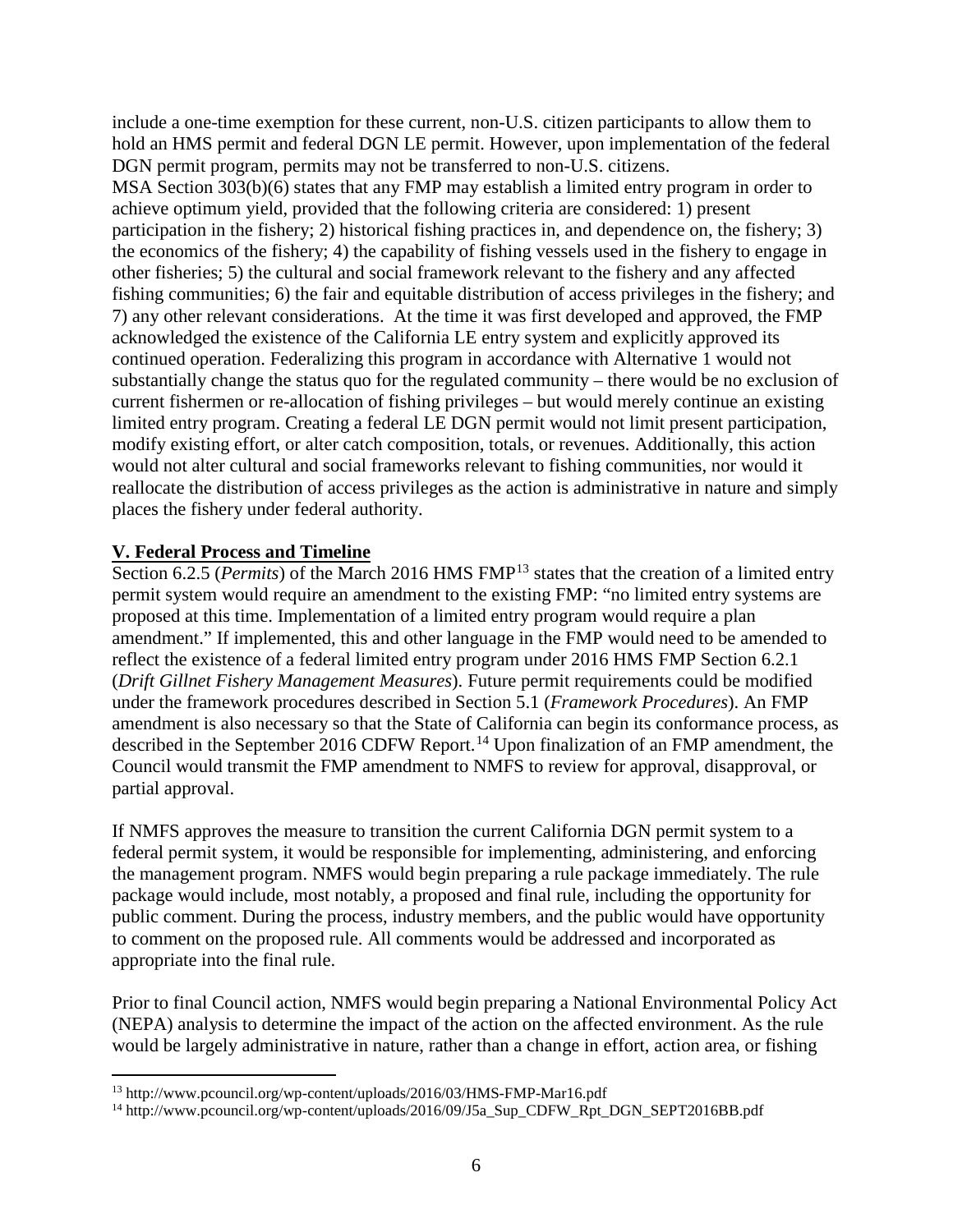include a one-time exemption for these current, non-U.S. citizen participants to allow them to hold an HMS permit and federal DGN LE permit. However, upon implementation of the federal DGN permit program, permits may not be transferred to non-U.S. citizens. MSA Section 303(b)(6) states that any FMP may establish a limited entry program in order to achieve optimum yield, provided that the following criteria are considered: 1) present participation in the fishery; 2) historical fishing practices in, and dependence on, the fishery; 3) the economics of the fishery; 4) the capability of fishing vessels used in the fishery to engage in other fisheries; 5) the cultural and social framework relevant to the fishery and any affected fishing communities; 6) the fair and equitable distribution of access privileges in the fishery; and 7) any other relevant considerations. At the time it was first developed and approved, the FMP acknowledged the existence of the California LE entry system and explicitly approved its continued operation. Federalizing this program in accordance with Alternative 1 would not substantially change the status quo for the regulated community – there would be no exclusion of current fishermen or re-allocation of fishing privileges – but would merely continue an existing limited entry program. Creating a federal LE DGN permit would not limit present participation, modify existing effort, or alter catch composition, totals, or revenues. Additionally, this action would not alter cultural and social frameworks relevant to fishing communities, nor would it reallocate the distribution of access privileges as the action is administrative in nature and simply places the fishery under federal authority.

### **V. Federal Process and Timeline**

Section 6.2.5 (*Permits*) of the March 2016 HMS FMP<sup>[13](#page-5-0)</sup> states that the creation of a limited entry permit system would require an amendment to the existing FMP: "no limited entry systems are proposed at this time. Implementation of a limited entry program would require a plan amendment." If implemented, this and other language in the FMP would need to be amended to reflect the existence of a federal limited entry program under 2016 HMS FMP Section 6.2.1 (*Drift Gillnet Fishery Management Measures*). Future permit requirements could be modified under the framework procedures described in Section 5.1 (*Framework Procedures*). An FMP amendment is also necessary so that the State of California can begin its conformance process, as described in the September 2016 CDFW Report.<sup>[14](#page-5-1)</sup> Upon finalization of an FMP amendment, the Council would transmit the FMP amendment to NMFS to review for approval, disapproval, or partial approval.

If NMFS approves the measure to transition the current California DGN permit system to a federal permit system, it would be responsible for implementing, administering, and enforcing the management program. NMFS would begin preparing a rule package immediately. The rule package would include, most notably, a proposed and final rule, including the opportunity for public comment. During the process, industry members, and the public would have opportunity to comment on the proposed rule. All comments would be addressed and incorporated as appropriate into the final rule.

Prior to final Council action, NMFS would begin preparing a National Environmental Policy Act (NEPA) analysis to determine the impact of the action on the affected environment. As the rule would be largely administrative in nature, rather than a change in effort, action area, or fishing

<span id="page-5-0"></span> <sup>13</sup> http://www.pcouncil.org/wp-content/uploads/2016/03/HMS-FMP-Mar16.pdf

<span id="page-5-1"></span><sup>14</sup> http://www.pcouncil.org/wp-content/uploads/2016/09/J5a\_Sup\_CDFW\_Rpt\_DGN\_SEPT2016BB.pdf